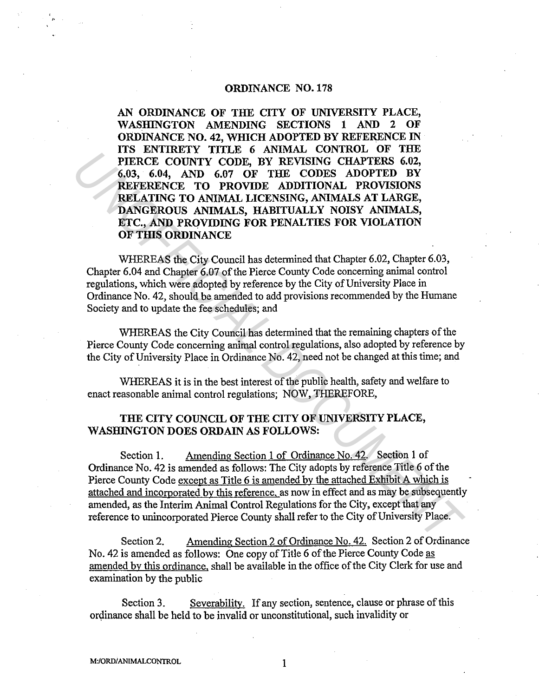## **ORDINANCE N0.178**

**AN ORDINANCE OF THE CITY OF UNIVERSITY PLACE, WASHINGTON AMENDING SECTIONS 1 AND 2 OF ORDINANCE NO. 42, WHICH ADOPTED BY REFERENCE IN ITS ENTIRETY TITLE 6 ANIMAL CONTROL OF THE PIERCE COUNTY CODE, BY REVISING CHAPTERS 6.02, 6.03, 6.04, AND 6.07 OF THE CODES ADOPTED BY REFERENCE TO PROVIDE ADDITIONAL PROVISIONS RELATING TO ANIMAL LICENSING, ANIMALS AT LARGE, DANGEROUS ANIMALS, HABITUALLY NOISY ANIMALS, ETC., AND PROVIDING FOR PENALTIES FOR VIOLATION OF THIS ORDINANCE FIERCE COUNTY CODE, BY EXPISING CHAFTERS 6.2,**<br> **FIERCE COUNTY CODE, BY EXPISING CHAFTERS 6.2,**<br> **EXPISING CHAFTERS 6.2,**<br> **REFERENTING TO AND 6.07 OF THE CODES ADDITIONAL PROVISIONS**<br> **REFERENT TO ANOTHER ANTIFICIAL INCO** 

WHEREAS the City Council has determined that Chapter 6.02, Chapter 6.03, Chapter 6.04 and Chapter 6.07 of the Pierce County Code concerning animal control regulations, which were adopted by reference by the City of University Place in Ordinance No. 42, should be amended to add provisions recommended by the Humane Society and to update the fee schedules; and

WHEREAS the City Council has determined that the remaining chapters of the Pierce County Code concerning animal control regulations, also adopted by reference by the City of University Place in Ordinance No. 42, need not be changed at this time; and

WHEREAS it is in the best interest of the public health, safety and welfare to enact reasonable animal control regulations; NOW, THEREFORE,

# **THE CITY COUNCIL OF THE CITY OF UNIVERSITY PLACE, WASHINGTON DOES ORDAIN AS FOLLOWS:**

Section **1.** Amending Section 1 of Ordinance No. 42. Section **1** of Ordinance No. 42 is amended as follows: The City adopts by reference Title 6 of the Pierce County Code except as Title 6 is amended by the attached Exhibit A which is attached and incorporated by this reference, as now in effect and as may be subsequently amended, as the Interim Animal Control Regulations for the City, except that any reference to unincorporated Pierce County shall refer to the City of University Place.

Section 2. Amending Section 2 of Ordinance No. 42. Section 2 of Ordinance No. 42 is amended as follows: One copy of Title 6 of the Pierce County Code as amended by this ordinance, shall be available in the office of the City Clerk for use and examination by the public

Section 3. Severability. If any section, sentence, clause or phrase of this ordinance shall be held to be invalid or unconstitutional, such invalidity or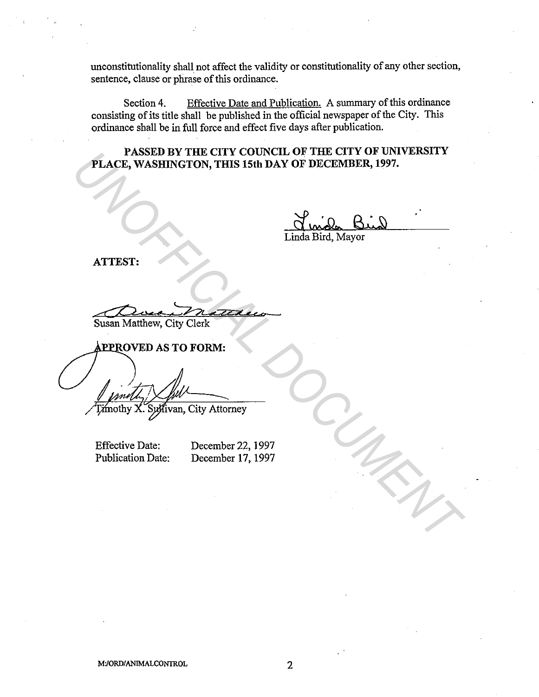unconstitutionality shall not affect the validity or constitutionality of any other section, sentence, clause or phrase of this ordinance.

Section 4. Effective Date and Publication. A summary of this ordinance consisting of its title shall be published in the official newspaper of the City. This ordinance shall be in full force and effect five days after publication.

**PASSED BY THE CITY COUNCIL OF THE CITY OF UNIVERSITY PLACE, WASHINGTON, THIS 15th DAY OF DECEMBER, 1997.** 

Linda Bird, Mayor

**ATTEST:** 

Susan Matthew, City Clerk

**FLACE, WASHINGTON, THIS IS th DAY OF DECEMBER, 1997.**<br>
THACE, WASHINGTON, THIS IS th DAY OF DECEMBER, 1997.<br>
Linda Bird, Mayor<br>
ATTEST:<br>
Susan Matthew, City Clerk<br> **PEPROVED** AS TO FORM:<br>
Thoroty X. System, City Attorney<br>

Effective Date: Publication Date: December 22, 1997 December 17, 1997

M:/ORDIANIMALCONTROL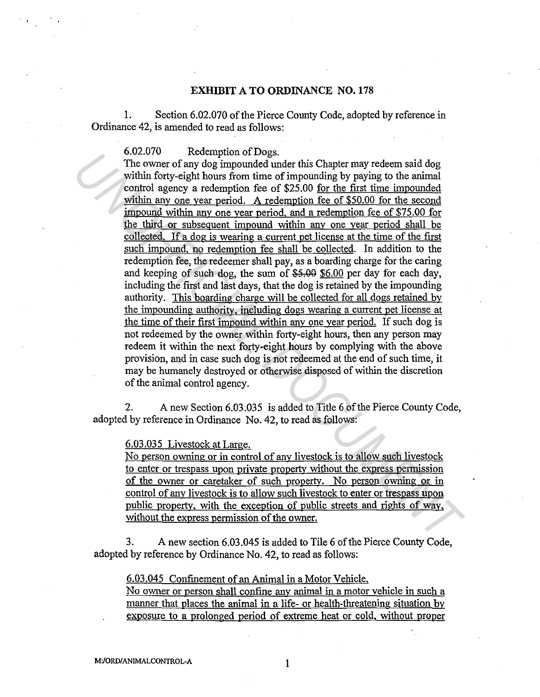#### **EXHIBIT ATO ORDINANCE N0.178**

1. Section 6.02.070 of the Pierce County Code, adopted by reference in Ordinance 42, is amended to read as follows:

6.02.070 Redemption of Dogs.

The owner of any dog impounded under this Chapter may redeem said dog within forty-eight hours from time of impounding by paying to the animal control agency a redemption fee of \$25.00 for the first time impounded within any one year period. A redemption fee of \$50.00 for the second impound within any one year period, and a redemption fee of \$75.00 for the third or subsequent impound within any one year period shall be collected. If a dog is wearing a current pet license at the time of the first such impound, no redemption fee shall be collected. In addition to the redemption fee, the redeemer shall pay, as a boarding charge for the caring and keeping of such dog, the sum of  $$5.00$  per day for each day, including the first and last days, that the dog is retained by the impounding authority. This boarding charge will be collected for all dogs retained by the impounding authoritv. including dogs wearing a current pet license at the time of their first impound within any one year period. If such dog is not redeemed by the owner within forty-eight hours, then any person may redeem it within the next forty-eight hours by complying with the above provision, and in case such dog is not redeemed at the end of such time, it may be humanely destroyed or otherwise disposed of within the discretion of the animal control agency. **COLOGY** Receiption or Dogs.<br>The owner of any dog impounded under this Chapter may redeem said dog<br>The owner of any dog impounded under this Chapter may redeem said dog<br>which forty -eight hours from time of impounded of \$2

2. A new Section 6.03.035 is added to Title 6 of the Pierce County Code, adopted by reference in Ordinance No. 42, to read as follows:

### 6.03.035 Livestock at Large.

No person owning or in control of any livestock is to allow such livestock to enter or trespass upon private property without the express permission of the owner or caretaker of such property. No person owning or in control of any livestock is to allow such livestock to enter or trespass upon public property. with the exception of public streets and rights of way. without the express permission of the owner.

3. A new section 6.03.045 is added to Tile 6 of the Pierce County Code, adopted by reference by Ordinance No. 42, to read as follows:

6.03.045 Confinement of an Animal in a Motor Vehicle.

No owner or person shall confine any animal in a motor vehicle in such a manner that places the animal in a life- or health-threatening situation by exposure to a prolonged period of extreme heat or cold, without proper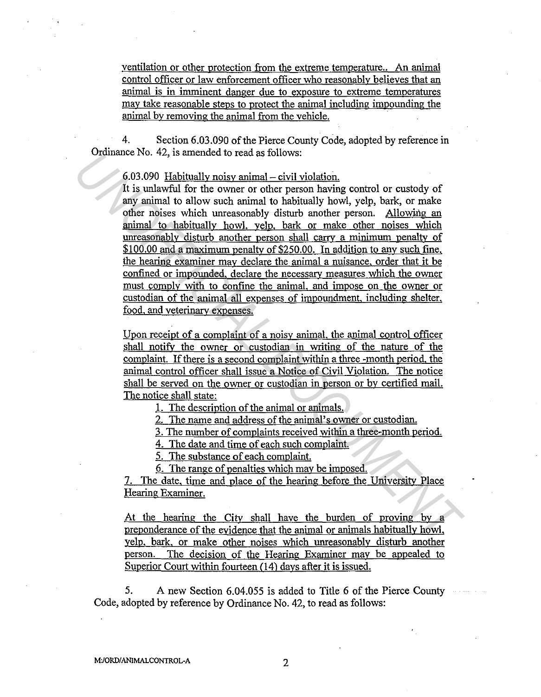ventilation or other protection from the extreme temperature.. An animal control officer or Jaw enforcement officer who reasonably believes that an animal is in imminent danger due to exposure to extreme temperatures may take reasonable steps to protect the animal including impounding the animal by removing the animal from the vehicle.

4. Section 6.03.090 of the Pierce County Code, adopted by reference in Ordinance No. 42, is amended to read as follows:

 $6.03.090$  Habitually noisy animal  $-$  civil violation.

It is unlawful for the owner or other person having control or custody of any animal to allow such animal to habitually howl, yelp, bark, or make other noises which unreasonably disturb another person. Allowing an animal to habitually howl, yelp. bark or make other noises which unreasonably disturb another person shall carrv a minimum penalty of \$100.00 and a maximum penalty of \$250.00. In addition to any such fine, the hearing examiner may declare the animal a nuisance, order that it be confined or impounded. declare the necessarv measures which the owner must comply with to confine the animal, and impose on the owner or custodian of the animal all expenses of impoundment, including shelter, food. and veterinarv expenses. For the state is the state of the state of the state of the state of the state of the state of the state of the state of the state of the state of the state of the state of the state of the state of the state of the state

Upon receipt of a complaint of a noisy animal, the animal control officer shall notify the owner or custodian in writing of the nature of the complaint. If there is a second complaint within a three -month period, the animal control officer shall issue a Notice of Civil Violation. The notice shall be served on the owner or custodian in person or by certified mail. The notice shall state:

1. The description of the animal or animals.

2. The name and address of the animal's owner or custodian.

3. The number of complaints received within a three-month period.

4. The date and time of each such complaint.

5. The substance of each complaint.

6. The range of penalties which may be imposed.

7. The date, time and place of the hearing before the University Place Hearing Examiner.

At the hearing the City shall have the burden of proving by a preponderance of the evidence that the animal or animals habitually howl, yelp, bark, or make other noises which unreasonably disturb another person. The decision of the Hearing Examiner may be appealed to Superior Court within fourteen (14) days after it is issued.

5. A new Section 6.04.055 is added to Title 6 of the Pierce County Code, adopted by reference by Ordinance No. 42, to read as follows: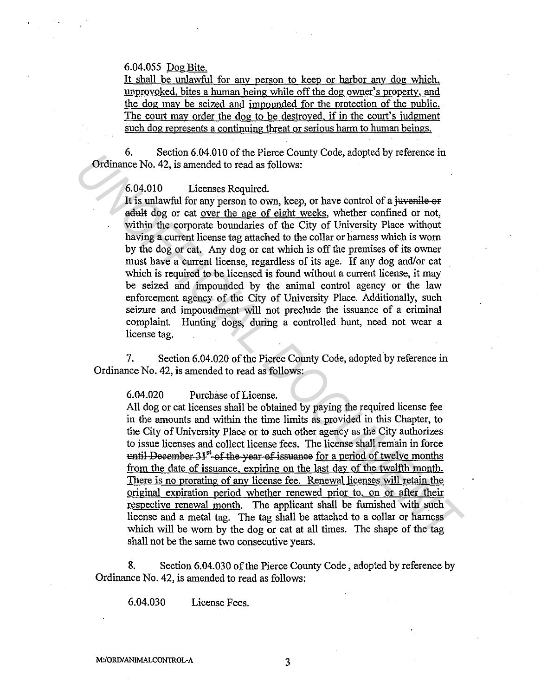### 6.04.055 Dog Bite.

It shall be unlawful for any person to keep or harbor any dog which, unprovoked. bites a human being while off the dog owner's propertv, and the dog may be seized and impounded for the protection of the public. The court may order the dog to be destroyed, if in the court's judgment such dog represents a continuing threat or serious harm to human beings.

6. Section 6.04.010 of the Pierce County Code, adopted by reference in Ordinance No. 42, is amended to read as follows:

6.04.010 Licenses Required.

It is unlawful for any person to own, keep, or have control of a juvenile or adult dog or cat over the age of eight weeks, whether confined or not, within the corporate boundaries of the City of University Place without having a current license tag attached to the collar or harness which is worn by the dog or cat. Any dog or cat which is off the premises of its owner must have a current license, regardless of its age. If any dog and/or cat which is required to be licensed is found without a current license, it may be seized and impounded by the animal control agency or the law enforcement agency of the City of University Place. Additionally, such seizure and impoundment will not preclude the issuance of a criminal complaint. Hunting dogs, during a controlled hunt, need not wear a license tag. **Unitarity Control** (3.4) as a mended to read as follows; anophet by retretine and<br> **CO-4.010** Licenses Required.<br> **It is unlawful for any person to own, keep, or have control of a investigate or distributed for each over** 

7. Section 6.04.020 of the Pierce County Code, adopted by reference in Ordinance No. 42, is amended to read as follows:

6.04.020 Purchase of License.

All dog or cat licenses shall be obtained by paying the required license fee in the amounts and within the time limits as provided in this Chapter, to the City of University Place or to such other agency as the City authorizes to issue licenses and collect license fees. The license shall remain in force  $t$ until December 31<sup>st</sup> of the year of issuance for a period of twelve months from the date of issuance, expiring on the last day of the twelfth month. There is no prorating of any license fee. Renewal licenses will retain the original expiration period whether renewed prior to, on or after their respective renewal month. The applicant shall be furnished with such license and a metal tag. The tag shall be attached to a collar or harness which will be worn by the dog or cat at all times. The shape of the tag shall not be the same two consecutive years.

8. Section 6.04.030 of the Pierce County Code, adopted by reference by Ordinance No. 42, is amended to read as follows:

6.04.030 License Fees.

M:/ORD/ANIMALCONTROL-A 3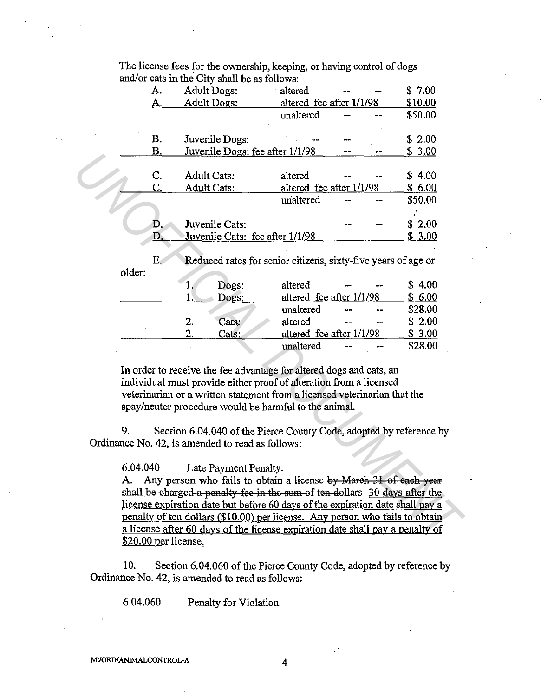The license fees for the ownership, keeping, or having control of dogs and/or cats in the City shall be as follows:

|                                                                                                                         |                                                                                                                                           | A.                                                                                                                                                            |                    | <b>Adult Dogs:</b>                                            | altered                  |  |  | \$7.00  |  |  |  |
|-------------------------------------------------------------------------------------------------------------------------|-------------------------------------------------------------------------------------------------------------------------------------------|---------------------------------------------------------------------------------------------------------------------------------------------------------------|--------------------|---------------------------------------------------------------|--------------------------|--|--|---------|--|--|--|
|                                                                                                                         |                                                                                                                                           | A.                                                                                                                                                            |                    | <b>Adult Dogs:</b>                                            | altered fee after 1/1/98 |  |  | \$10.00 |  |  |  |
|                                                                                                                         |                                                                                                                                           |                                                                                                                                                               |                    |                                                               | unaltered                |  |  | \$50.00 |  |  |  |
|                                                                                                                         |                                                                                                                                           | Β.                                                                                                                                                            |                    | Juvenile Dogs:                                                |                          |  |  | \$2.00  |  |  |  |
|                                                                                                                         |                                                                                                                                           | <b>B.</b>                                                                                                                                                     |                    | Juvenile Dogs: fee after 1/1/98                               |                          |  |  | \$3.00  |  |  |  |
|                                                                                                                         |                                                                                                                                           |                                                                                                                                                               |                    |                                                               |                          |  |  |         |  |  |  |
|                                                                                                                         |                                                                                                                                           | C.                                                                                                                                                            | <b>Adult Cats:</b> |                                                               | altered                  |  |  | \$4.00  |  |  |  |
|                                                                                                                         |                                                                                                                                           | C.                                                                                                                                                            | <b>Adult Cats:</b> |                                                               | altered fee after 1/1/98 |  |  | \$6.00  |  |  |  |
|                                                                                                                         |                                                                                                                                           |                                                                                                                                                               |                    |                                                               | unaltered                |  |  | \$50.00 |  |  |  |
|                                                                                                                         |                                                                                                                                           |                                                                                                                                                               |                    |                                                               |                          |  |  |         |  |  |  |
|                                                                                                                         |                                                                                                                                           | Đ.                                                                                                                                                            |                    | Juvenile Cats:                                                |                          |  |  | \$2.00  |  |  |  |
|                                                                                                                         |                                                                                                                                           | D.                                                                                                                                                            |                    | Juvenile Cats: fee after 1/1/98                               |                          |  |  | \$3.00  |  |  |  |
|                                                                                                                         |                                                                                                                                           |                                                                                                                                                               |                    |                                                               |                          |  |  |         |  |  |  |
|                                                                                                                         |                                                                                                                                           | $E_{\rm c}$                                                                                                                                                   |                    | Reduced rates for senior citizens, sixty-five years of age or |                          |  |  |         |  |  |  |
|                                                                                                                         | older:                                                                                                                                    |                                                                                                                                                               |                    |                                                               |                          |  |  |         |  |  |  |
|                                                                                                                         |                                                                                                                                           |                                                                                                                                                               | 1.                 | Dogs:                                                         | altered                  |  |  | \$4.00  |  |  |  |
|                                                                                                                         |                                                                                                                                           |                                                                                                                                                               | 1.                 | Dogs:                                                         | altered fee after 1/1/98 |  |  | \$6.00  |  |  |  |
|                                                                                                                         |                                                                                                                                           |                                                                                                                                                               |                    |                                                               | unaltered                |  |  | \$28.00 |  |  |  |
|                                                                                                                         |                                                                                                                                           |                                                                                                                                                               | 2.                 | Cats:                                                         | altered                  |  |  | \$2.00  |  |  |  |
|                                                                                                                         |                                                                                                                                           |                                                                                                                                                               | $\overline{2}$ .   | Cats:                                                         | altered fee after 1/1/98 |  |  | \$3.00  |  |  |  |
|                                                                                                                         |                                                                                                                                           |                                                                                                                                                               |                    |                                                               | unaltered                |  |  | \$28.00 |  |  |  |
|                                                                                                                         |                                                                                                                                           |                                                                                                                                                               |                    |                                                               |                          |  |  |         |  |  |  |
|                                                                                                                         | In order to receive the fee advantage for altered dogs and cats, an<br>individual must provide either proof of alteration from a licensed |                                                                                                                                                               |                    |                                                               |                          |  |  |         |  |  |  |
|                                                                                                                         |                                                                                                                                           |                                                                                                                                                               |                    |                                                               |                          |  |  |         |  |  |  |
|                                                                                                                         |                                                                                                                                           |                                                                                                                                                               |                    |                                                               |                          |  |  |         |  |  |  |
|                                                                                                                         | veterinarian or a written statement from a licensed veterinarian that the<br>spay/neuter procedure would be harmful to the animal.        |                                                                                                                                                               |                    |                                                               |                          |  |  |         |  |  |  |
|                                                                                                                         |                                                                                                                                           |                                                                                                                                                               |                    |                                                               |                          |  |  |         |  |  |  |
|                                                                                                                         | 9.                                                                                                                                        |                                                                                                                                                               |                    |                                                               |                          |  |  |         |  |  |  |
| Section 6.04.040 of the Pierce County Code, adopted by reference by<br>Ordinance No. 42, is amended to read as follows: |                                                                                                                                           |                                                                                                                                                               |                    |                                                               |                          |  |  |         |  |  |  |
|                                                                                                                         |                                                                                                                                           |                                                                                                                                                               |                    |                                                               |                          |  |  |         |  |  |  |
|                                                                                                                         | 6.04.040                                                                                                                                  |                                                                                                                                                               |                    |                                                               |                          |  |  |         |  |  |  |
|                                                                                                                         | Late Payment Penalty.<br>Any person who fails to obtain a license by March 31 of each year<br>A.                                          |                                                                                                                                                               |                    |                                                               |                          |  |  |         |  |  |  |
|                                                                                                                         |                                                                                                                                           |                                                                                                                                                               |                    |                                                               |                          |  |  |         |  |  |  |
|                                                                                                                         |                                                                                                                                           | shall be charged a penalty fee in the sum of ten dollars 30 days after the                                                                                    |                    |                                                               |                          |  |  |         |  |  |  |
|                                                                                                                         |                                                                                                                                           | license expiration date but before 60 days of the expiration date shall pay a<br>penalty of ten dollars (\$10.00) per license. Any person who fails to obtain |                    |                                                               |                          |  |  |         |  |  |  |
|                                                                                                                         |                                                                                                                                           |                                                                                                                                                               |                    |                                                               |                          |  |  |         |  |  |  |
|                                                                                                                         | a license after 60 days of the license expiration date shall pay a penalty of<br>S20 00 ner license                                       |                                                                                                                                                               |                    |                                                               |                          |  |  |         |  |  |  |
|                                                                                                                         |                                                                                                                                           |                                                                                                                                                               |                    |                                                               |                          |  |  |         |  |  |  |

|  | Dogs: | altered fee after 1/1/98 | 6.00 |    |         |
|--|-------|--------------------------|------|----|---------|
|  |       | unaltered                | --   | سد | \$28.00 |
|  | Cats: | altered                  |      | -- | \$2.00  |
|  | Cats: | altered fee after 1/1/98 |      |    | 3.00    |
|  |       | unaltered                |      |    | \$28.00 |

10. Section 6.04.060 of the Pierce County Code, adopted by reference by Ordinance No. 42, is amended to read as follows:

6.04.060 Penalty for Violation.

M:/ORD/ANIMALCONTROL-A 4